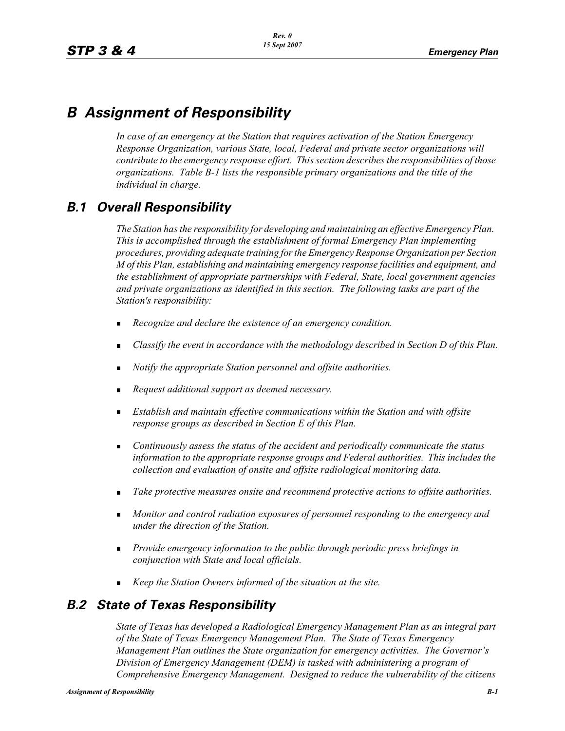# *B Assignment of Responsibility*

*In case of an emergency at the Station that requires activation of the Station Emergency Response Organization, various State, local, Federal and private sector organizations will contribute to the emergency response effort. This section describesthe responsibilities of those organizations. Table B-1 lists the responsible primary organizations and the title of the individual in charge.*

# *B.1 Overall Responsibility*

*The Station hasthe responsibility for developing and maintaining an effective Emergency Plan. This is accomplished through the establishment of formal Emergency Plan implementing procedures, providing adequate training forthe Emergency Response Organization per Section M of this Plan, establishing and maintaining emergency response facilities and equipment, and the establishment of appropriate partnerships with Federal, State, local government agencies and private organizations as identified in this section. The following tasks are part of the Station's responsibility:*

- *Recognize and declare the existence of an emergency condition.*  $\blacksquare$
- *Classify the event in accordance with the methodology described in Section D of this Plan.*
- *Notify the appropriate Station personnel and offsite authorities.*  $\blacksquare$
- *Request additional support as deemed necessary.*
- *Establish and maintain effective communications within the Station and with offsite*   $\blacksquare$ *response groups as described in Section E of this Plan.*
- *Continuously assess the status of the accident and periodically communicate the status*   $\blacksquare$ *information to the appropriate response groups and Federal authorities. This includes the collection and evaluation of onsite and offsite radiological monitoring data.*
- *Take protective measures onsite and recommend protective actions to offsite authorities.*  $\blacksquare$
- *Monitor and control radiation exposures of personnel responding to the emergency and under the direction of the Station.*
- *Provide emergency information to the public through periodic press briefings in conjunction with State and local officials.*
- *Keep the Station Owners informed of the situation at the site.*

# *B.2 State of Texas Responsibility*

*State of Texas has developed a Radiological Emergency Management Plan as an integral part of the State of Texas Emergency Management Plan. The State of Texas Emergency Management Plan outlines the State organization for emergency activities. The Governor's Division of Emergency Management (DEM) is tasked with administering a program of Comprehensive Emergency Management. Designed to reduce the vulnerability of the citizens*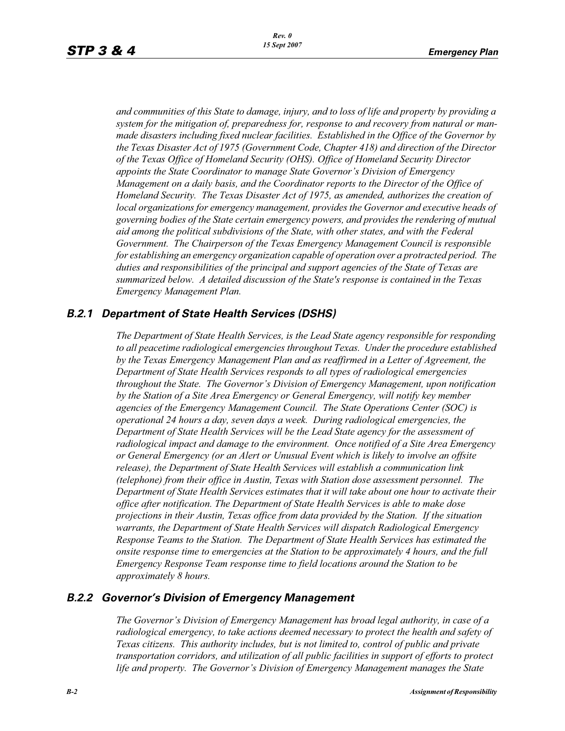*and communities of this State to damage, injury, and to loss of life and property by providing a system for the mitigation of, preparedness for, response to and recovery from natural or manmade disasters including fixed nuclear facilities. Established in the Office of the Governor by the Texas Disaster Act of 1975 (Government Code, Chapter 418) and direction of the Director of the Texas Office of Homeland Security (OHS). Office of Homeland Security Director appoints the State Coordinator to manage State Governor's Division of Emergency Management on a daily basis, and the Coordinator reports to the Director of the Office of Homeland Security. The Texas Disaster Act of 1975, as amended, authorizes the creation of local organizations for emergency management, provides the Governor and executive heads of governing bodies of the State certain emergency powers, and provides the rendering of mutual aid among the political subdivisions of the State, with other states, and with the Federal Government. The Chairperson of the Texas Emergency Management Council is responsible for establishing an emergency organization capable of operation over a protracted period. The duties and responsibilities of the principal and support agencies of the State of Texas are summarized below. A detailed discussion of the State's response is contained in the Texas Emergency Management Plan.*

# *B.2.1 Department of State Health Services (DSHS)*

*The Department of State Health Services, is the Lead State agency responsible for responding to all peacetime radiological emergencies throughout Texas. Under the procedure established by the Texas Emergency Management Plan and as reaffirmed in a Letter of Agreement, the Department of State Health Services responds to all types of radiological emergencies throughout the State. The Governor's Division of Emergency Management, upon notification by the Station of a Site Area Emergency or General Emergency, will notify key member agencies of the Emergency Management Council. The State Operations Center (SOC) is operational 24 hours a day, seven days a week. During radiological emergencies, the Department of State Health Services will be the Lead State agency for the assessment of radiological impact and damage to the environment. Once notified of a Site Area Emergency or General Emergency (or an Alert or Unusual Event which is likely to involve an offsite release), the Department of State Health Services will establish a communication link (telephone) from their office in Austin, Texas with Station dose assessment personnel. The Department of State Health Services estimates that it will take about one hour to activate their office after notification. The Department of State Health Services is able to make dose projections in their Austin, Texas office from data provided by the Station. If the situation warrants, the Department of State Health Services will dispatch Radiological Emergency Response Teams to the Station. The Department of State Health Services has estimated the onsite response time to emergencies at the Station to be approximately 4 hours, and the full Emergency Response Team response time to field locations around the Station to be approximately 8 hours.*

## *B.2.2 Governor's Division of Emergency Management*

*The Governor's Division of Emergency Management has broad legal authority, in case of a radiological emergency, to take actions deemed necessary to protect the health and safety of Texas citizens. This authority includes, but is not limited to, control of public and private transportation corridors, and utilization of all public facilities in support of efforts to protect life and property. The Governor's Division of Emergency Management manages the State*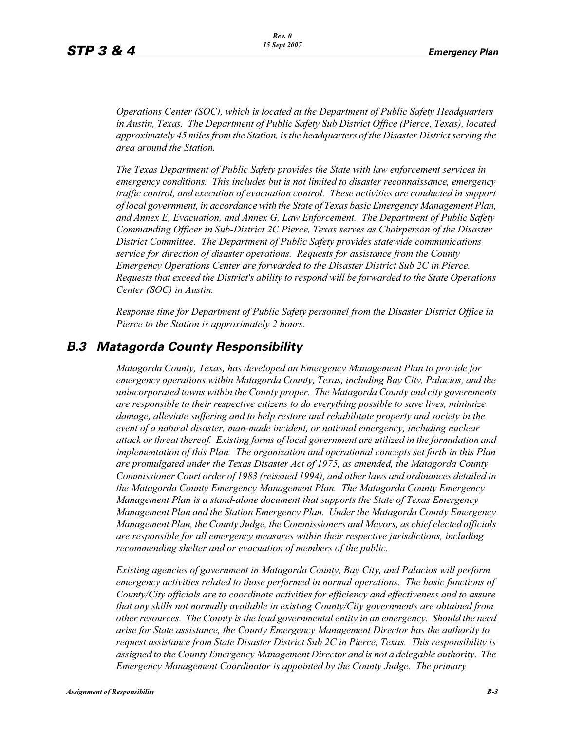*Operations Center (SOC), which is located at the Department of Public Safety Headquarters in Austin, Texas. The Department of Public Safety Sub District Office (Pierce, Texas), located approximately 45 miles from the Station, is the headquarters of the Disaster District serving the area around the Station.*

*The Texas Department of Public Safety provides the State with law enforcement services in emergency conditions. This includes but is not limited to disaster reconnaissance, emergency traffic control, and execution of evacuation control. These activities are conducted in support of local government, in accordance with the State of Texas basic Emergency Management Plan, and Annex E, Evacuation, and Annex G, Law Enforcement. The Department of Public Safety Commanding Officer in Sub-District 2C Pierce, Texas serves as Chairperson of the Disaster District Committee. The Department of Public Safety provides statewide communications service for direction of disaster operations. Requests for assistance from the County Emergency Operations Center are forwarded to the Disaster District Sub 2C in Pierce. Requests that exceed the District's ability to respond will be forwarded to the State Operations Center (SOC) in Austin.*

*Response time for Department of Public Safety personnel from the Disaster District Office in Pierce to the Station is approximately 2 hours.*

# *B.3 Matagorda County Responsibility*

*Matagorda County, Texas, has developed an Emergency Management Plan to provide for emergency operations within Matagorda County, Texas, including Bay City, Palacios, and the unincorporated towns within the County proper. The Matagorda County and city governments are responsible to their respective citizens to do everything possible to save lives, minimize damage, alleviate suffering and to help restore and rehabilitate property and society in the event of a natural disaster, man-made incident, or national emergency, including nuclear attack or threat thereof. Existing forms of local government are utilized in the formulation and implementation of this Plan. The organization and operational concepts set forth in this Plan are promulgated under the Texas Disaster Act of 1975, as amended, the Matagorda County Commissioner Court order of 1983 (reissued 1994), and other laws and ordinances detailed in the Matagorda County Emergency Management Plan. The Matagorda County Emergency Management Plan is a stand-alone document that supports the State of Texas Emergency Management Plan and the Station Emergency Plan. Under the Matagorda County Emergency Management Plan, the County Judge, the Commissioners and Mayors, as chief elected officials are responsible for all emergency measures within their respective jurisdictions, including recommending shelter and or evacuation of members of the public.* 

*Existing agencies of government in Matagorda County, Bay City, and Palacios will perform emergency activities related to those performed in normal operations. The basic functions of County/City officials are to coordinate activities for efficiency and effectiveness and to assure that any skills not normally available in existing County/City governments are obtained from other resources. The County is the lead governmental entity in an emergency. Should the need arise for State assistance, the County Emergency Management Director has the authority to request assistance from State Disaster District Sub 2C in Pierce, Texas. This responsibility is assigned to the County Emergency Management Director and is not a delegable authority. The Emergency Management Coordinator is appointed by the County Judge. The primary*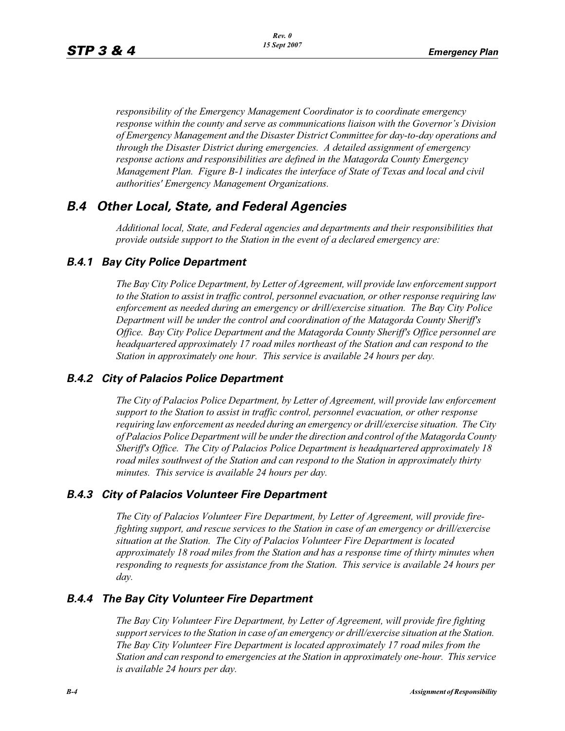*responsibility of the Emergency Management Coordinator is to coordinate emergency response within the county and serve as communications liaison with the Governor's Division of Emergency Management and the Disaster District Committee for day-to-day operations and through the Disaster District during emergencies. A detailed assignment of emergency response actions and responsibilities are defined in the Matagorda County Emergency Management Plan. Figure B-1 indicates the interface of State of Texas and local and civil authorities' Emergency Management Organizations.*

# *B.4 Other Local, State, and Federal Agencies*

*Additional local, State, and Federal agencies and departments and their responsibilities that provide outside support to the Station in the event of a declared emergency are:*

# *B.4.1 Bay City Police Department*

*The Bay City Police Department, by Letter of Agreement, will provide law enforcement support to the Station to assist in traffic control, personnel evacuation, or other response requiring law enforcement as needed during an emergency or drill/exercise situation. The Bay City Police Department will be under the control and coordination of the Matagorda County Sheriff's Office. Bay City Police Department and the Matagorda County Sheriff's Office personnel are headquartered approximately 17 road miles northeast of the Station and can respond to the Station in approximately one hour. This service is available 24 hours per day.*

## *B.4.2 City of Palacios Police Department*

*The City of Palacios Police Department, by Letter of Agreement, will provide law enforcement support to the Station to assist in traffic control, personnel evacuation, or other response requiring law enforcement as needed during an emergency or drill/exercise situation. The City of Palacios Police Department will be under the direction and control of the Matagorda County Sheriff's Office. The City of Palacios Police Department is headquartered approximately 18 road miles southwest of the Station and can respond to the Station in approximately thirty minutes. This service is available 24 hours per day.*

# *B.4.3 City of Palacios Volunteer Fire Department*

*The City of Palacios Volunteer Fire Department, by Letter of Agreement, will provide firefighting support, and rescue services to the Station in case of an emergency or drill/exercise situation at the Station. The City of Palacios Volunteer Fire Department is located approximately 18 road miles from the Station and has a response time of thirty minutes when responding to requests for assistance from the Station. This service is available 24 hours per day.*

## *B.4.4 The Bay City Volunteer Fire Department*

*The Bay City Volunteer Fire Department, by Letter of Agreement, will provide fire fighting support services to the Station in case of an emergency or drill/exercise situation at the Station. The Bay City Volunteer Fire Department is located approximately 17 road miles from the Station and can respond to emergencies at the Station in approximately one-hour. This service is available 24 hours per day.*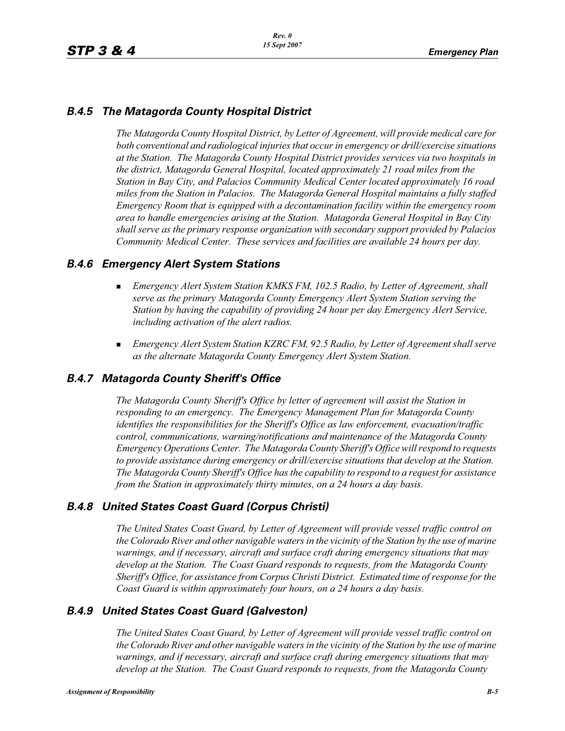# *B.4.5 The Matagorda County Hospital District*

*The Matagorda County Hospital District, by Letter of Agreement, will provide medical care for both conventional and radiological injuries that occur in emergency or drill/exercise situations at the Station. The Matagorda County Hospital District provides services via two hospitals in the district, Matagorda General Hospital, located approximately 21 road miles from the Station in Bay City, and Palacios Community Medical Center located approximately 16 road miles from the Station in Palacios. The Matagorda General Hospital maintains a fully staffed Emergency Room that is equipped with a decontamination facility within the emergency room area to handle emergencies arising at the Station. Matagorda General Hospital in Bay City shall serve as the primary response organization with secondary support provided by Palacios Community Medical Center. These services and facilities are available 24 hours per day.*

#### *B.4.6 Emergency Alert System Stations*

- *Emergency Alert System Station KMKS FM, 102.5 Radio, by Letter of Agreement, shall serve as the primary Matagorda County Emergency Alert System Station serving the Station by having the capability of providing 24 hour per day Emergency Alert Service, including activation of the alert radios.*
- **E** *Emergency Alert System Station KZRC FM, 92.5 Radio, by Letter of Agreement shall serve as the alternate Matagorda County Emergency Alert System Station.*

#### *B.4.7 Matagorda County Sheriff's Office*

*The Matagorda County Sheriff's Office by letter of agreement will assist the Station in responding to an emergency. The Emergency Management Plan for Matagorda County identifies the responsibilities for the Sheriff's Office as law enforcement, evacuation/traffic control, communications, warning/notifications and maintenance of the Matagorda County Emergency Operations Center. The Matagorda County Sheriff's Office will respond to requests to provide assistance during emergency or drill/exercise situations that develop at the Station. The Matagorda County Sheriff's Office has the capability to respond to a request for assistance from the Station in approximately thirty minutes, on a 24 hours a day basis.*

## *B.4.8 United States Coast Guard (Corpus Christi)*

*The United States Coast Guard, by Letter of Agreement will provide vessel traffic control on the Colorado River and other navigable waters in the vicinity of the Station by the use of marine warnings, and if necessary, aircraft and surface craft during emergency situations that may develop at the Station. The Coast Guard responds to requests, from the Matagorda County Sheriff's Office, for assistance from Corpus Christi District. Estimated time of response for the Coast Guard is within approximately four hours, on a 24 hours a day basis.*

## *B.4.9 United States Coast Guard (Galveston)*

*The United States Coast Guard, by Letter of Agreement will provide vessel traffic control on the Colorado River and other navigable waters in the vicinity of the Station by the use of marine warnings, and if necessary, aircraft and surface craft during emergency situations that may develop at the Station. The Coast Guard responds to requests, from the Matagorda County*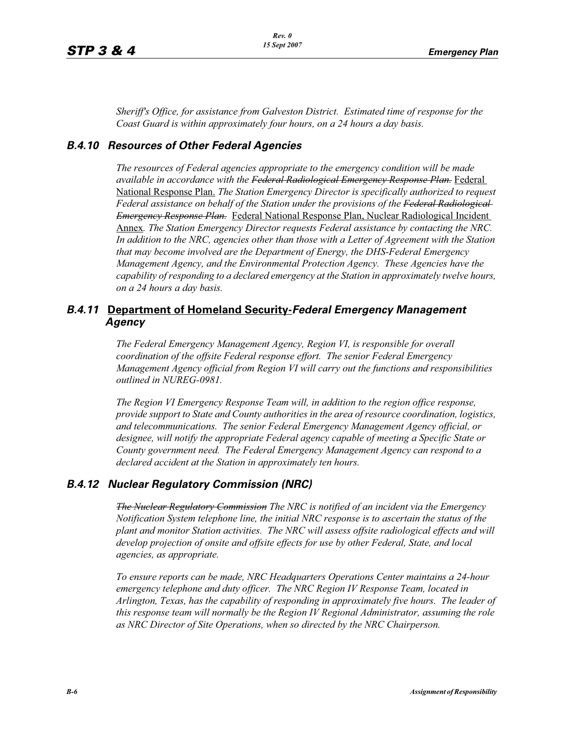*Sheriff's Office, for assistance from Galveston District. Estimated time of response for the Coast Guard is within approximately four hours, on a 24 hours a day basis.*

## *B.4.10 Resources of Other Federal Agencies*

*The resources of Federal agencies appropriate to the emergency condition will be made available in accordance with the Federal Radiological Emergency Response Plan.* Federal National Response Plan. *The Station Emergency Director is specifically authorized to request Federal assistance on behalf of the Station under the provisions of the Federal Radiological Emergency Response Plan.* Federal National Response Plan, Nuclear Radiological Incident Annex*. The Station Emergency Director requests Federal assistance by contacting the NRC. In addition to the NRC, agencies other than those with a Letter of Agreement with the Station that may become involved are the Department of Energy, the DHS-Federal Emergency Management Agency, and the Environmental Protection Agency. These Agencies have the capability of responding to a declared emergency at the Station in approximately twelve hours, on a 24 hours a day basis.*

# *B.4.11* **Department of Homeland Security-***Federal Emergency Management Agency*

*The Federal Emergency Management Agency, Region VI, is responsible for overall coordination of the offsite Federal response effort. The senior Federal Emergency Management Agency official from Region VI will carry out the functions and responsibilities outlined in NUREG-0981.*

*The Region VI Emergency Response Team will, in addition to the region office response, provide support to State and County authorities in the area of resource coordination, logistics, and telecommunications. The senior Federal Emergency Management Agency official, or designee, will notify the appropriate Federal agency capable of meeting a Specific State or County government need. The Federal Emergency Management Agency can respond to a declared accident at the Station in approximately ten hours.*

## *B.4.12 Nuclear Regulatory Commission (NRC)*

*The Nuclear Regulatory Commission The NRC is notified of an incident via the Emergency Notification System telephone line, the initial NRC response is to ascertain the status of the plant and monitor Station activities. The NRC will assess offsite radiological effects and will develop projection of onsite and offsite effects for use by other Federal, State, and local agencies, as appropriate.*

*To ensure reports can be made, NRC Headquarters Operations Center maintains a 24-hour emergency telephone and duty officer. The NRC Region IV Response Team, located in Arlington, Texas, has the capability of responding in approximately five hours. The leader of this response team will normally be the Region IV Regional Administrator, assuming the role as NRC Director of Site Operations, when so directed by the NRC Chairperson.*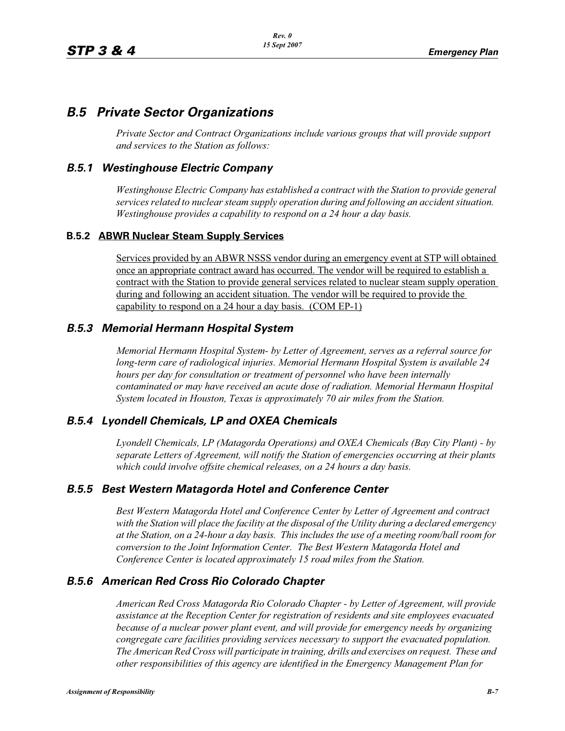# *B.5 Private Sector Organizations*

*Private Sector and Contract Organizations include various groups that will provide support and services to the Station as follows:*

## *B.5.1 Westinghouse Electric Company*

*Westinghouse Electric Company has established a contract with the Station to provide general services related to nuclear steam supply operation during and following an accident situation. Westinghouse provides a capability to respond on a 24 hour a day basis.*

#### **B.5.2 ABWR Nuclear Steam Supply Services**

Services provided by an ABWR NSSS vendor during an emergency event at STP will obtained once an appropriate contract award has occurred. The vendor will be required to establish a contract with the Station to provide general services related to nuclear steam supply operation during and following an accident situation. The vendor will be required to provide the capability to respond on a 24 hour a day basis. (COM EP-1)

#### *B.5.3 Memorial Hermann Hospital System*

*Memorial Hermann Hospital System- by Letter of Agreement, serves as a referral source for long-term care of radiological injuries. Memorial Hermann Hospital System is available 24 hours per day for consultation or treatment of personnel who have been internally contaminated or may have received an acute dose of radiation. Memorial Hermann Hospital System located in Houston, Texas is approximately 70 air miles from the Station.*

## *B.5.4 Lyondell Chemicals, LP and OXEA Chemicals*

*Lyondell Chemicals, LP (Matagorda Operations) and OXEA Chemicals (Bay City Plant) - by separate Letters of Agreement, will notify the Station of emergencies occurring at their plants which could involve offsite chemical releases, on a 24 hours a day basis.*

#### *B.5.5 Best Western Matagorda Hotel and Conference Center*

*Best Western Matagorda Hotel and Conference Center by Letter of Agreement and contract with the Station will place the facility at the disposal of the Utility during a declared emergency at the Station, on a 24-hour a day basis. This includes the use of a meeting room/ball room for conversion to the Joint Information Center. The Best Western Matagorda Hotel and Conference Center is located approximately 15 road miles from the Station.*

#### *B.5.6 American Red Cross Rio Colorado Chapter*

*American Red Cross Matagorda Rio Colorado Chapter - by Letter of Agreement, will provide assistance at the Reception Center for registration of residents and site employees evacuated because of a nuclear power plant event, and will provide for emergency needs by organizing congregate care facilities providing services necessary to support the evacuated population. The American Red Cross will participate in training, drills and exercises on request. These and other responsibilities of this agency are identified in the Emergency Management Plan for*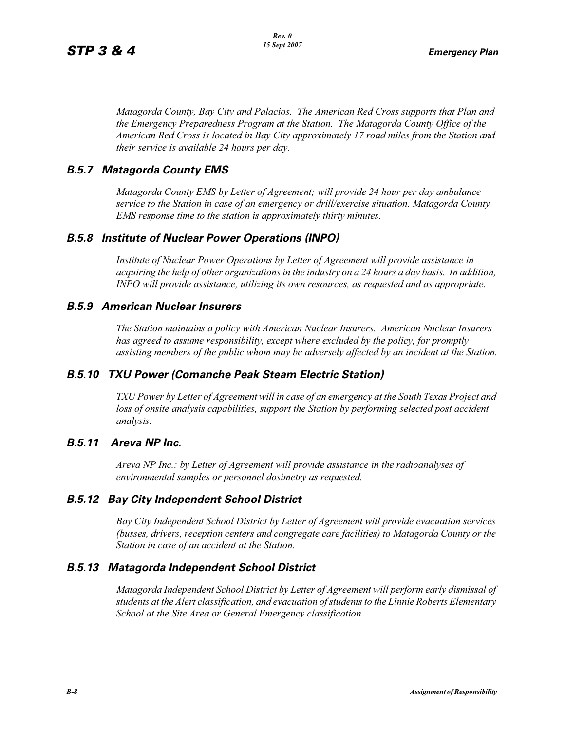*Matagorda County, Bay City and Palacios. The American Red Cross supports that Plan and the Emergency Preparedness Program at the Station. The Matagorda County Office of the American Red Cross is located in Bay City approximately 17 road miles from the Station and their service is available 24 hours per day.*

# *B.5.7 Matagorda County EMS*

*Matagorda County EMS by Letter of Agreement; will provide 24 hour per day ambulance service to the Station in case of an emergency or drill/exercise situation. Matagorda County EMS response time to the station is approximately thirty minutes.*

## *B.5.8 Institute of Nuclear Power Operations (INPO)*

*Institute of Nuclear Power Operations by Letter of Agreement will provide assistance in acquiring the help of other organizations in the industry on a 24 hours a day basis. In addition, INPO will provide assistance, utilizing its own resources, as requested and as appropriate.*

#### *B.5.9 American Nuclear Insurers*

*The Station maintains a policy with American Nuclear Insurers. American Nuclear Insurers has agreed to assume responsibility, except where excluded by the policy, for promptly assisting members of the public whom may be adversely affected by an incident at the Station.*

## *B.5.10 TXU Power (Comanche Peak Steam Electric Station)*

*TXU Power by Letter of Agreement will in case of an emergency at the South Texas Project and*  loss of onsite analysis capabilities, support the Station by performing selected post accident *analysis.*

## *B.5.11 Areva NP Inc.*

*Areva NP Inc.: by Letter of Agreement will provide assistance in the radioanalyses of environmental samples or personnel dosimetry as requested.*

## *B.5.12 Bay City Independent School District*

*Bay City Independent School District by Letter of Agreement will provide evacuation services (busses, drivers, reception centers and congregate care facilities) to Matagorda County or the Station in case of an accident at the Station.*

## *B.5.13 Matagorda Independent School District*

*Matagorda Independent School District by Letter of Agreement will perform early dismissal of students at the Alert classification, and evacuation of students to the Linnie Roberts Elementary School at the Site Area or General Emergency classification.*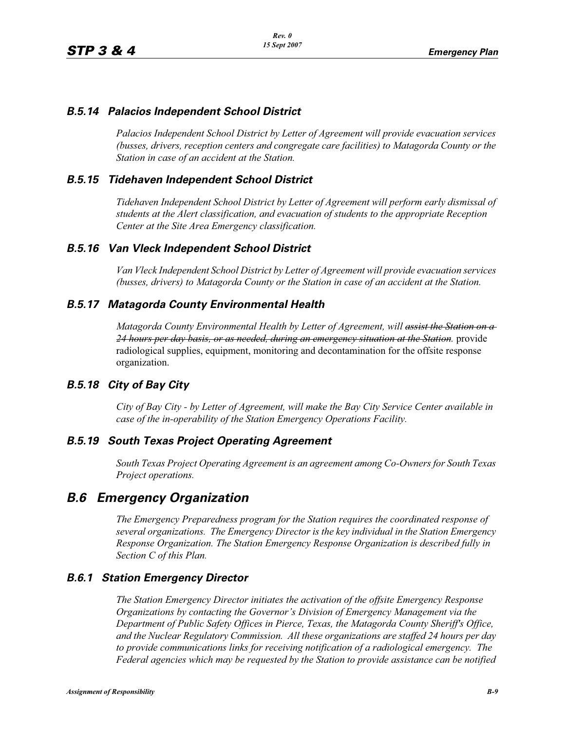## *B.5.14 Palacios Independent School District*

*Palacios Independent School District by Letter of Agreement will provide evacuation services (busses, drivers, reception centers and congregate care facilities) to Matagorda County or the Station in case of an accident at the Station.*

#### *B.5.15 Tidehaven Independent School District*

*Tidehaven Independent School District by Letter of Agreement will perform early dismissal of students at the Alert classification, and evacuation of students to the appropriate Reception Center at the Site Area Emergency classification.*

#### *B.5.16 Van Vleck Independent School District*

*Van Vleck Independent School District by Letter of Agreement will provide evacuation services (busses, drivers) to Matagorda County or the Station in case of an accident at the Station.*

#### *B.5.17 Matagorda County Environmental Health*

*Matagorda County Environmental Health by Letter of Agreement, will assist the Station on a 24 hours per day basis, or as needed, during an emergency situation at the Station.* provide radiological supplies, equipment, monitoring and decontamination for the offsite response organization.

#### *B.5.18 City of Bay City*

*City of Bay City - by Letter of Agreement, will make the Bay City Service Center available in case of the in-operability of the Station Emergency Operations Facility.*

#### *B.5.19 South Texas Project Operating Agreement*

*South Texas Project Operating Agreement is an agreement among Co-Owners for South Texas Project operations.*

# *B.6 Emergency Organization*

*The Emergency Preparedness program for the Station requires the coordinated response of several organizations. The Emergency Director is the key individual in the Station Emergency Response Organization. The Station Emergency Response Organization is described fully in Section C of this Plan.*

#### *B.6.1 Station Emergency Director*

*The Station Emergency Director initiates the activation of the offsite Emergency Response Organizations by contacting the Governor's Division of Emergency Management via the Department of Public Safety Offices in Pierce, Texas, the Matagorda County Sheriff's Office, and the Nuclear Regulatory Commission. All these organizations are staffed 24 hours per day to provide communications links for receiving notification of a radiological emergency. The Federal agencies which may be requested by the Station to provide assistance can be notified*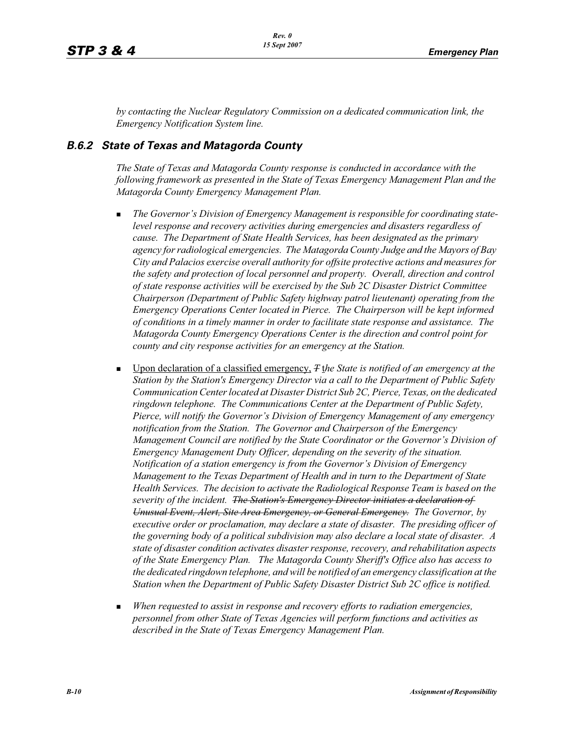*by contacting the Nuclear Regulatory Commission on a dedicated communication link, the Emergency Notification System line.*

#### *B.6.2 State of Texas and Matagorda County*

*The State of Texas and Matagorda County response is conducted in accordance with the following framework as presented in the State of Texas Emergency Management Plan and the Matagorda County Emergency Management Plan.*

- - *The Governor's Division of Emergency Management is responsible for coordinating statelevel response and recovery activities during emergencies and disasters regardless of cause. The Department of State Health Services, has been designated as the primary agency for radiological emergencies. The Matagorda County Judge and the Mayors of Bay City and Palacios exercise overall authority for offsite protective actions and measures for the safety and protection of local personnel and property. Overall, direction and control of state response activities will be exercised by the Sub 2C Disaster District Committee Chairperson (Department of Public Safety highway patrol lieutenant) operating from the Emergency Operations Center located in Pierce. The Chairperson will be kept informed of conditions in a timely manner in order to facilitate state response and assistance. The Matagorda County Emergency Operations Center is the direction and control point for county and city response activities for an emergency at the Station.*
- - Upon declaration of a classified emergency, *T* t*he State is notified of an emergency at the Station by the Station's Emergency Director via a call to the Department of Public Safety Communication Center located at Disaster District Sub 2C, Pierce, Texas, on the dedicated ringdown telephone. The Communications Center at the Department of Public Safety, Pierce, will notify the Governor's Division of Emergency Management of any emergency notification from the Station. The Governor and Chairperson of the Emergency Management Council are notified by the State Coordinator or the Governor's Division of Emergency Management Duty Officer, depending on the severity of the situation. Notification of a station emergency is from the Governor's Division of Emergency Management to the Texas Department of Health and in turn to the Department of State Health Services. The decision to activate the Radiological Response Team is based on the severity of the incident. The Station's Emergency Director initiates a declaration of Unusual Event, Alert, Site Area Emergency, or General Emergency. The Governor, by executive order or proclamation, may declare a state of disaster. The presiding officer of the governing body of a political subdivision may also declare a local state of disaster. A state of disaster condition activates disaster response, recovery, and rehabilitation aspects of the State Emergency Plan. The Matagorda County Sheriff's Office also has access to the dedicated ringdown telephone, and will be notified of an emergency classification at the Station when the Department of Public Safety Disaster District Sub 2C office is notified.*
- - *When requested to assist in response and recovery efforts to radiation emergencies, personnel from other State of Texas Agencies will perform functions and activities as described in the State of Texas Emergency Management Plan.*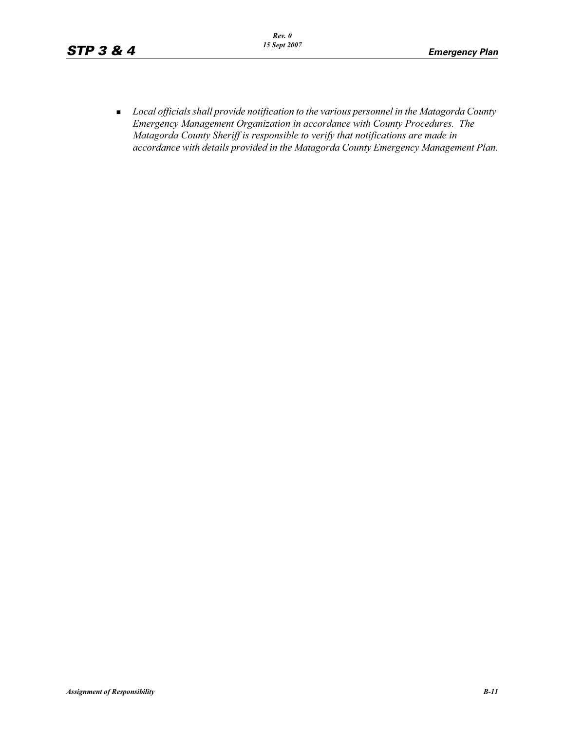**L** Local officials shall provide notification to the various personnel in the Matagorda County *Emergency Management Organization in accordance with County Procedures. The Matagorda County Sheriff is responsible to verify that notifications are made in accordance with details provided in the Matagorda County Emergency Management Plan.*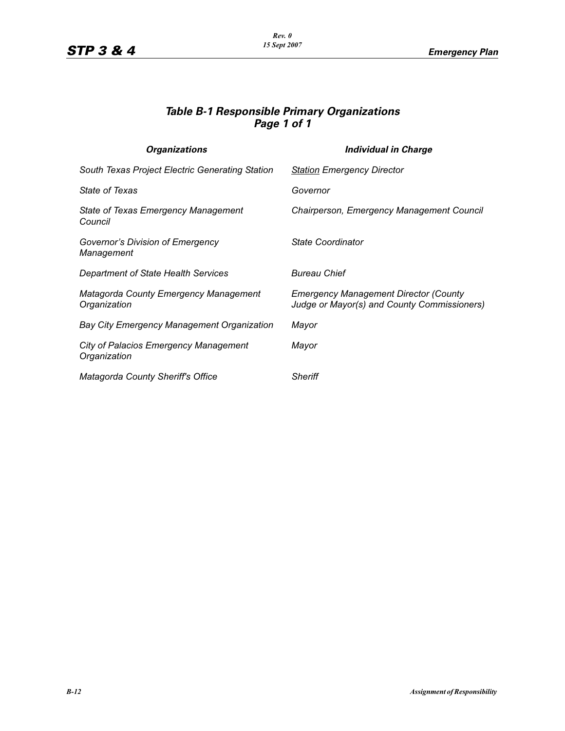# *Table B-1 Responsible Primary Organizations Page 1 of 1*

| <b>Organizations</b>                                  | <b>Individual in Charge</b>                                                                 |
|-------------------------------------------------------|---------------------------------------------------------------------------------------------|
| South Texas Project Electric Generating Station       | <b>Station Emergency Director</b>                                                           |
| State of Texas                                        | Governor                                                                                    |
| State of Texas Emergency Management<br>Council        | Chairperson, Emergency Management Council                                                   |
| Governor's Division of Emergency<br>Management        | State Coordinator                                                                           |
| Department of State Health Services                   | <b>Bureau Chief</b>                                                                         |
| Matagorda County Emergency Management<br>Organization | <b>Emergency Management Director (County</b><br>Judge or Mayor(s) and County Commissioners) |
| Bay City Emergency Management Organization            | Mayor                                                                                       |
| City of Palacios Emergency Management<br>Organization | Mayor                                                                                       |
| Matagorda County Sheriff's Office                     | Sheriff                                                                                     |